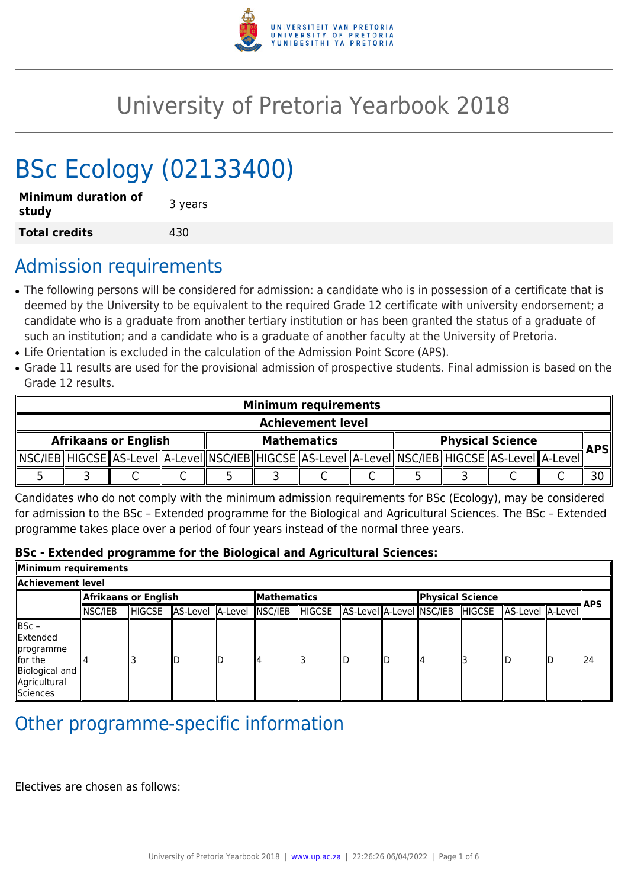

# University of Pretoria Yearbook 2018

# BSc Ecology (02133400)

| <b>Minimum duration of</b><br>study | 3 years |
|-------------------------------------|---------|
| <b>Total credits</b>                | 430     |

## Admission requirements

- The following persons will be considered for admission: a candidate who is in possession of a certificate that is deemed by the University to be equivalent to the required Grade 12 certificate with university endorsement; a candidate who is a graduate from another tertiary institution or has been granted the status of a graduate of such an institution; and a candidate who is a graduate of another faculty at the University of Pretoria.
- Life Orientation is excluded in the calculation of the Admission Point Score (APS).
- Grade 11 results are used for the provisional admission of prospective students. Final admission is based on the Grade 12 results.

| <b>Minimum requirements</b> |  |  |                    |  |  |                                                                                                   |                         |  |  |  |            |  |
|-----------------------------|--|--|--------------------|--|--|---------------------------------------------------------------------------------------------------|-------------------------|--|--|--|------------|--|
| <b>Achievement level</b>    |  |  |                    |  |  |                                                                                                   |                         |  |  |  |            |  |
| <b>Afrikaans or English</b> |  |  | <b>Mathematics</b> |  |  |                                                                                                   | <b>Physical Science</b> |  |  |  | <b>APS</b> |  |
|                             |  |  |                    |  |  | ∥NSC/IEB∥HIGCSE∥AS-LeveI∥A-LeveI∥NSC/IEB∥HIGCSE∥AS-LeveI∥A-LeveI∥NSC/IEB∥HIGCSE∥AS-LeveI∥A-LeveI∥ |                         |  |  |  |            |  |
|                             |  |  |                    |  |  |                                                                                                   |                         |  |  |  |            |  |

Candidates who do not comply with the minimum admission requirements for BSc (Ecology), may be considered for admission to the BSc – Extended programme for the Biological and Agricultural Sciences. The BSc – Extended programme takes place over a period of four years instead of the normal three years.

#### **BSc - Extended programme for the Biological and Agricultural Sciences:**

| Minimum requirements                                                                                 |                      |        |                          |                    |  |         |  |                  |    |  |                                                          |            |     |
|------------------------------------------------------------------------------------------------------|----------------------|--------|--------------------------|--------------------|--|---------|--|------------------|----|--|----------------------------------------------------------|------------|-----|
| Achievement level.                                                                                   |                      |        |                          |                    |  |         |  |                  |    |  |                                                          |            |     |
|                                                                                                      | Afrikaans or English |        |                          | <b>Mathematics</b> |  |         |  | Physical Science |    |  |                                                          | <b>APS</b> |     |
|                                                                                                      | NSC/IEB              | HIGCSE | AS-Level A-Level NSC/IEB |                    |  | ∥HIGCSE |  |                  |    |  | AS-Level  A-Level  NSC/IEB   HIGCSE   AS-Level   A-Level |            |     |
| BSc -<br>Extended<br>∥programme<br>$\ $ for the<br>Biological and<br>Agricultural<br><b>Sciences</b> |                      |        |                          | חוו                |  |         |  |                  | ıд |  |                                                          |            | 124 |

# Other programme-specific information

Electives are chosen as follows: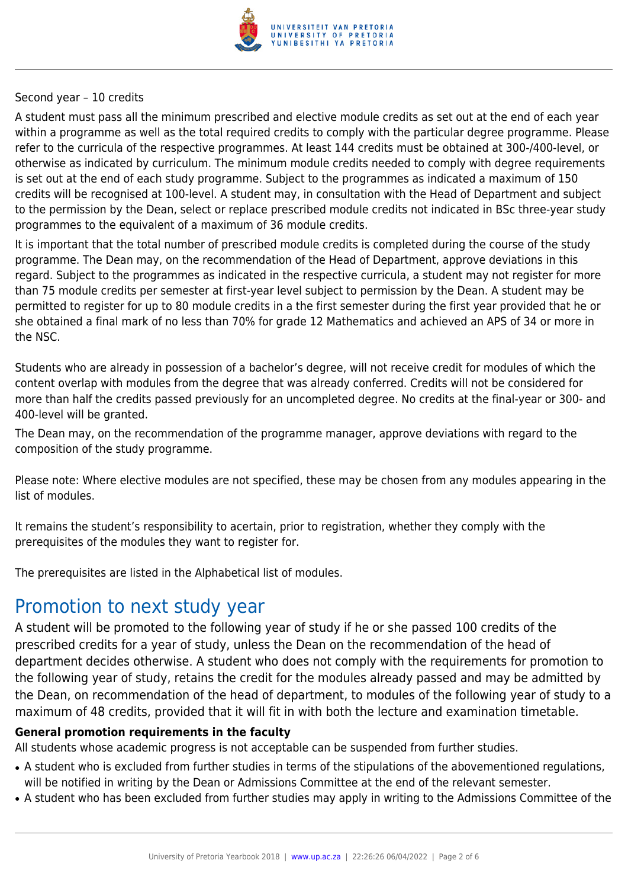

#### Second year – 10 credits

A student must pass all the minimum prescribed and elective module credits as set out at the end of each year within a programme as well as the total required credits to comply with the particular degree programme. Please refer to the curricula of the respective programmes. At least 144 credits must be obtained at 300-/400-level, or otherwise as indicated by curriculum. The minimum module credits needed to comply with degree requirements is set out at the end of each study programme. Subject to the programmes as indicated a maximum of 150 credits will be recognised at 100-level. A student may, in consultation with the Head of Department and subject to the permission by the Dean, select or replace prescribed module credits not indicated in BSc three-year study programmes to the equivalent of a maximum of 36 module credits.

It is important that the total number of prescribed module credits is completed during the course of the study programme. The Dean may, on the recommendation of the Head of Department, approve deviations in this regard. Subject to the programmes as indicated in the respective curricula, a student may not register for more than 75 module credits per semester at first-year level subject to permission by the Dean. A student may be permitted to register for up to 80 module credits in a the first semester during the first year provided that he or she obtained a final mark of no less than 70% for grade 12 Mathematics and achieved an APS of 34 or more in the NSC.

Students who are already in possession of a bachelor's degree, will not receive credit for modules of which the content overlap with modules from the degree that was already conferred. Credits will not be considered for more than half the credits passed previously for an uncompleted degree. No credits at the final-year or 300- and 400-level will be granted.

The Dean may, on the recommendation of the programme manager, approve deviations with regard to the composition of the study programme.

Please note: Where elective modules are not specified, these may be chosen from any modules appearing in the list of modules.

It remains the student's responsibility to acertain, prior to registration, whether they comply with the prerequisites of the modules they want to register for.

The prerequisites are listed in the Alphabetical list of modules.

## Promotion to next study year

A student will be promoted to the following year of study if he or she passed 100 credits of the prescribed credits for a year of study, unless the Dean on the recommendation of the head of department decides otherwise. A student who does not comply with the requirements for promotion to the following year of study, retains the credit for the modules already passed and may be admitted by the Dean, on recommendation of the head of department, to modules of the following year of study to a maximum of 48 credits, provided that it will fit in with both the lecture and examination timetable.

#### **General promotion requirements in the faculty**

All students whose academic progress is not acceptable can be suspended from further studies.

- A student who is excluded from further studies in terms of the stipulations of the abovementioned regulations, will be notified in writing by the Dean or Admissions Committee at the end of the relevant semester.
- A student who has been excluded from further studies may apply in writing to the Admissions Committee of the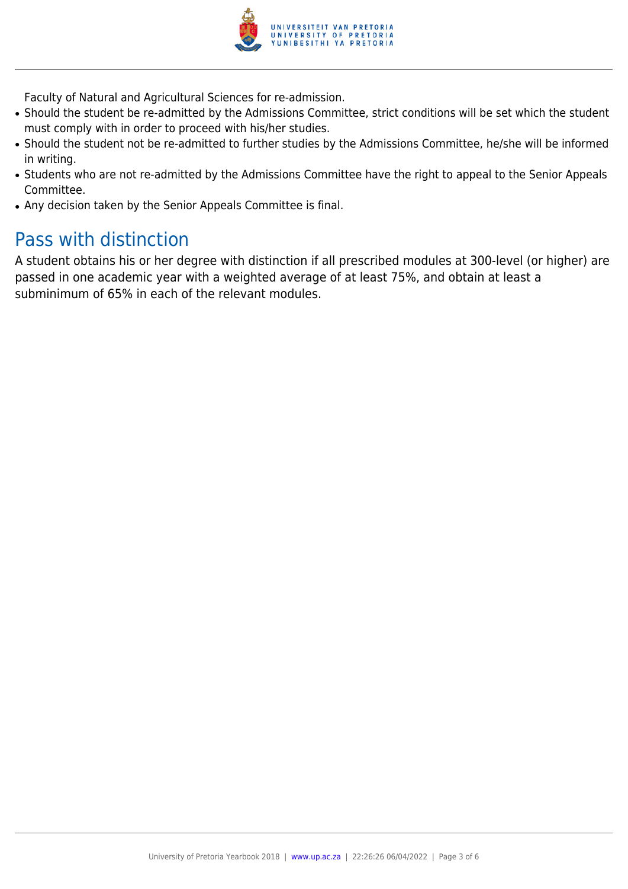

Faculty of Natural and Agricultural Sciences for re-admission.

- Should the student be re-admitted by the Admissions Committee, strict conditions will be set which the student must comply with in order to proceed with his/her studies.
- Should the student not be re-admitted to further studies by the Admissions Committee, he/she will be informed in writing.
- Students who are not re-admitted by the Admissions Committee have the right to appeal to the Senior Appeals Committee.
- Any decision taken by the Senior Appeals Committee is final.

# Pass with distinction

A student obtains his or her degree with distinction if all prescribed modules at 300-level (or higher) are passed in one academic year with a weighted average of at least 75%, and obtain at least a subminimum of 65% in each of the relevant modules.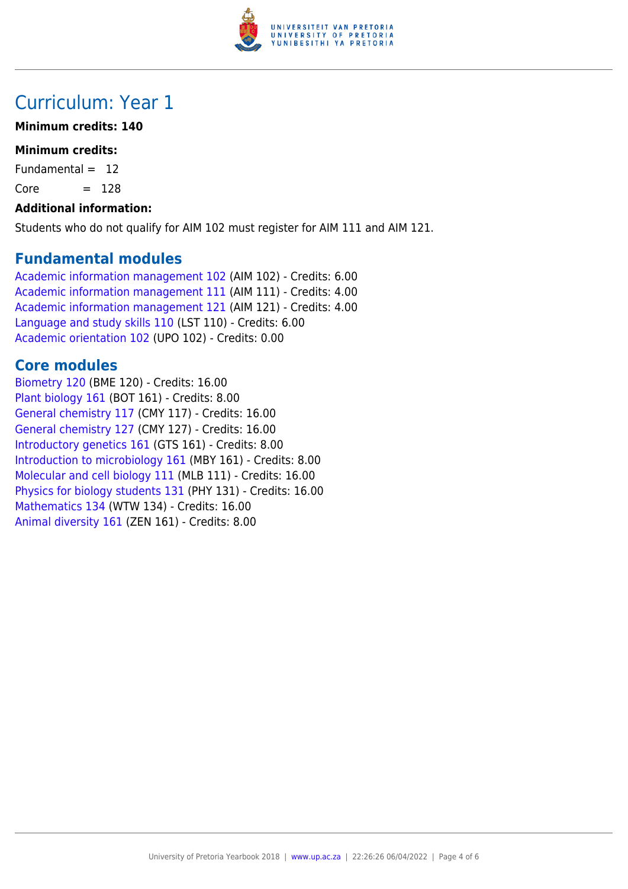

# Curriculum: Year 1

#### **Minimum credits: 140**

#### **Minimum credits:**

Fundamental  $= 12$ 

 $Core = 128$ 

#### **Additional information:**

Students who do not qualify for AIM 102 must register for AIM 111 and AIM 121.

### **Fundamental modules**

[Academic information management 102](https://www.up.ac.za/yearbooks/2018/modules/view/AIM 102) (AIM 102) - Credits: 6.00 [Academic information management 111](https://www.up.ac.za/yearbooks/2018/modules/view/AIM 111) (AIM 111) - Credits: 4.00 [Academic information management 121](https://www.up.ac.za/yearbooks/2018/modules/view/AIM 121) (AIM 121) - Credits: 4.00 [Language and study skills 110](https://www.up.ac.za/yearbooks/2018/modules/view/LST 110) (LST 110) - Credits: 6.00 [Academic orientation 102](https://www.up.ac.za/yearbooks/2018/modules/view/UPO 102) (UPO 102) - Credits: 0.00

### **Core modules**

[Biometry 120](https://www.up.ac.za/yearbooks/2018/modules/view/BME 120) (BME 120) - Credits: 16.00 [Plant biology 161](https://www.up.ac.za/yearbooks/2018/modules/view/BOT 161) (BOT 161) - Credits: 8.00 [General chemistry 117](https://www.up.ac.za/yearbooks/2018/modules/view/CMY 117) (CMY 117) - Credits: 16.00 [General chemistry 127](https://www.up.ac.za/yearbooks/2018/modules/view/CMY 127) (CMY 127) - Credits: 16.00 [Introductory genetics 161](https://www.up.ac.za/yearbooks/2018/modules/view/GTS 161) (GTS 161) - Credits: 8.00 [Introduction to microbiology 161](https://www.up.ac.za/yearbooks/2018/modules/view/MBY 161) (MBY 161) - Credits: 8.00 [Molecular and cell biology 111](https://www.up.ac.za/yearbooks/2018/modules/view/MLB 111) (MLB 111) - Credits: 16.00 [Physics for biology students 131](https://www.up.ac.za/yearbooks/2018/modules/view/PHY 131) (PHY 131) - Credits: 16.00 [Mathematics 134](https://www.up.ac.za/yearbooks/2018/modules/view/WTW 134) (WTW 134) - Credits: 16.00 [Animal diversity 161](https://www.up.ac.za/yearbooks/2018/modules/view/ZEN 161) (ZEN 161) - Credits: 8.00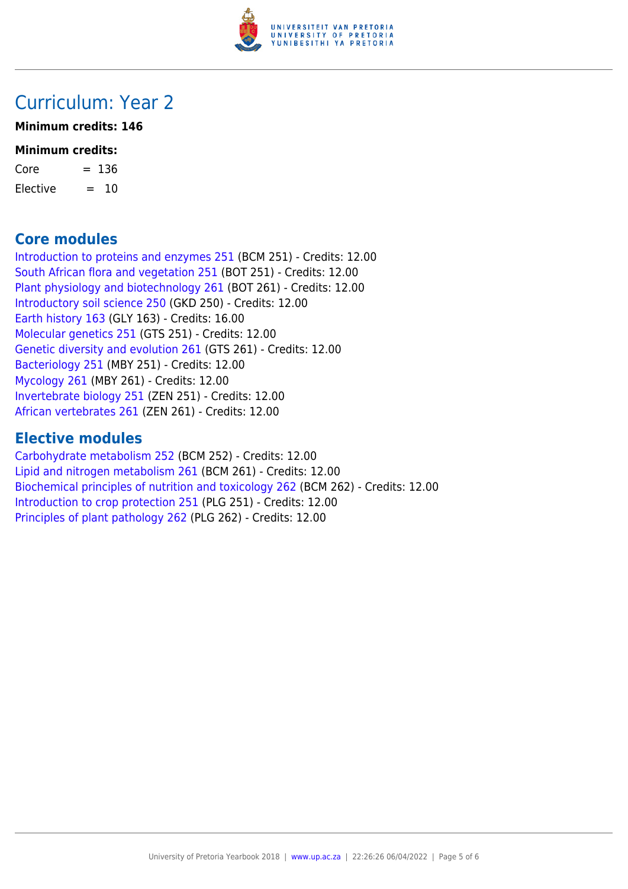

### Curriculum: Year 2

#### **Minimum credits: 146**

#### **Minimum credits:**

| Core     | $= 136$ |
|----------|---------|
| Elective | $= 10$  |

### **Core modules**

[Introduction to proteins and enzymes 251](https://www.up.ac.za/yearbooks/2018/modules/view/BCM 251) (BCM 251) - Credits: 12.00 [South African flora and vegetation 251](https://www.up.ac.za/yearbooks/2018/modules/view/BOT 251) (BOT 251) - Credits: 12.00 [Plant physiology and biotechnology 261](https://www.up.ac.za/yearbooks/2018/modules/view/BOT 261) (BOT 261) - Credits: 12.00 [Introductory soil science 250](https://www.up.ac.za/yearbooks/2018/modules/view/GKD 250) (GKD 250) - Credits: 12.00 [Earth history 163](https://www.up.ac.za/yearbooks/2018/modules/view/GLY 163) (GLY 163) - Credits: 16.00 [Molecular genetics 251](https://www.up.ac.za/yearbooks/2018/modules/view/GTS 251) (GTS 251) - Credits: 12.00 [Genetic diversity and evolution 261](https://www.up.ac.za/yearbooks/2018/modules/view/GTS 261) (GTS 261) - Credits: 12.00 [Bacteriology 251](https://www.up.ac.za/yearbooks/2018/modules/view/MBY 251) (MBY 251) - Credits: 12.00 [Mycology 261](https://www.up.ac.za/yearbooks/2018/modules/view/MBY 261) (MBY 261) - Credits: 12.00 [Invertebrate biology 251](https://www.up.ac.za/yearbooks/2018/modules/view/ZEN 251) (ZEN 251) - Credits: 12.00 [African vertebrates 261](https://www.up.ac.za/yearbooks/2018/modules/view/ZEN 261) (ZEN 261) - Credits: 12.00

### **Elective modules**

[Carbohydrate metabolism 252](https://www.up.ac.za/yearbooks/2018/modules/view/BCM 252) (BCM 252) - Credits: 12.00 [Lipid and nitrogen metabolism 261](https://www.up.ac.za/yearbooks/2018/modules/view/BCM 261) (BCM 261) - Credits: 12.00 [Biochemical principles of nutrition and toxicology 262](https://www.up.ac.za/yearbooks/2018/modules/view/BCM 262) (BCM 262) - Credits: 12.00 [Introduction to crop protection 251](https://www.up.ac.za/yearbooks/2018/modules/view/PLG 251) (PLG 251) - Credits: 12.00 [Principles of plant pathology 262](https://www.up.ac.za/yearbooks/2018/modules/view/PLG 262) (PLG 262) - Credits: 12.00